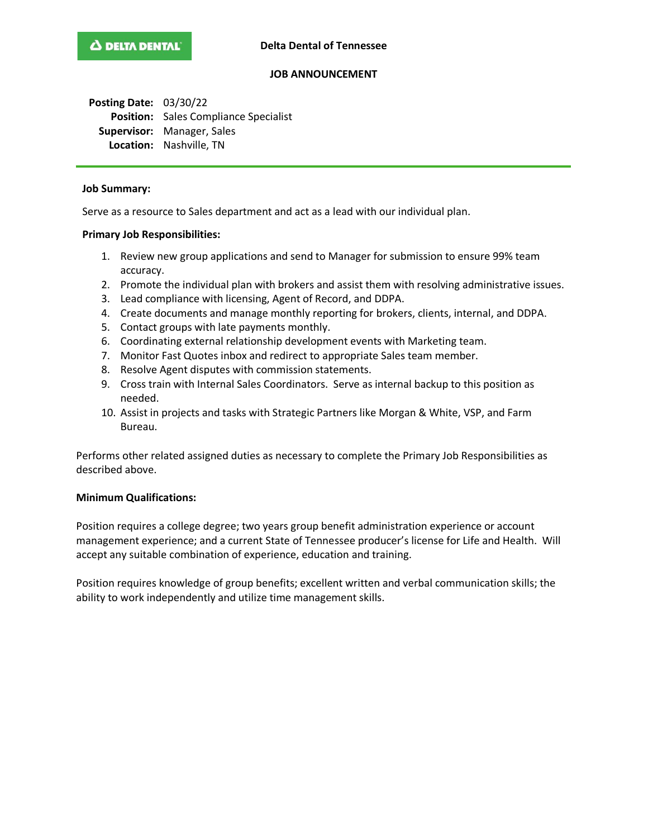# **JOB ANNOUNCEMENT**

**Posting Date:** 03/30/22 **Position:** Sales Compliance Specialist **Supervisor:** Manager, Sales **Location:** Nashville, TN

#### **Job Summary:**

Serve as a resource to Sales department and act as a lead with our individual plan.

### **Primary Job Responsibilities:**

- 1. Review new group applications and send to Manager for submission to ensure 99% team accuracy.
- 2. Promote the individual plan with brokers and assist them with resolving administrative issues.
- 3. Lead compliance with licensing, Agent of Record, and DDPA.
- 4. Create documents and manage monthly reporting for brokers, clients, internal, and DDPA.
- 5. Contact groups with late payments monthly.
- 6. Coordinating external relationship development events with Marketing team.
- 7. Monitor Fast Quotes inbox and redirect to appropriate Sales team member.
- 8. Resolve Agent disputes with commission statements.
- 9. Cross train with Internal Sales Coordinators. Serve as internal backup to this position as needed.
- 10. Assist in projects and tasks with Strategic Partners like Morgan & White, VSP, and Farm Bureau.

Performs other related assigned duties as necessary to complete the Primary Job Responsibilities as described above.

### **Minimum Qualifications:**

Position requires a college degree; two years group benefit administration experience or account management experience; and a current State of Tennessee producer's license for Life and Health. Will accept any suitable combination of experience, education and training.

Position requires knowledge of group benefits; excellent written and verbal communication skills; the ability to work independently and utilize time management skills.